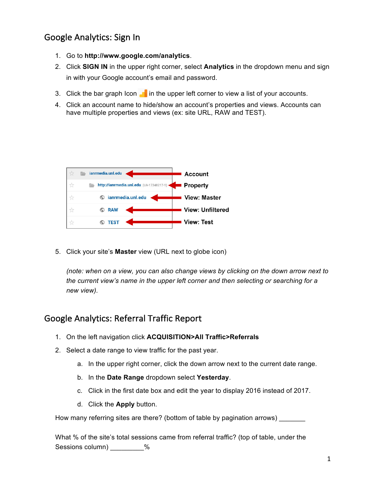# Google Analytics: Sign In

- 1. Go to **http://www.google.com/analytics**.
- 2. Click **SIGN IN** in the upper right corner, select **Analytics** in the dropdown menu and sign in with your Google account's email and password.
- 3. Click the bar graph Icon  $\blacksquare$  in the upper left corner to view a list of your accounts.
- 4. Click an account name to hide/show an account's properties and views. Accounts can have multiple properties and views (ex: site URL, RAW and TEST).

|   | ianrmedia.unl.edu                        | Account                 |
|---|------------------------------------------|-------------------------|
| ÷ | http://ianrmedia.unl.edu (UA-17248217-1) | Property                |
|   | ianrmedia.unl.edu                        | <b>View: Master</b>     |
|   | <b>RAW</b>                               | <b>View: Unfiltered</b> |
|   | TEST                                     | <b>View: Test</b>       |

5. Click your site's **Master** view (URL next to globe icon)

*(note: when on a view, you can also change views by clicking on the down arrow next to the current view's name in the upper left corner and then selecting or searching for a new view).*

## Google Analytics: Referral Traffic Report

- 1. On the left navigation click **ACQUISITION>All Traffic>Referrals**
- 2. Select a date range to view traffic for the past year.
	- a. In the upper right corner, click the down arrow next to the current date range.
	- b. In the **Date Range** dropdown select **Yesterday**.
	- c. Click in the first date box and edit the year to display 2016 instead of 2017.
	- d. Click the **Apply** button.

How many referring sites are there? (bottom of table by pagination arrows) \_\_\_\_\_\_\_

What % of the site's total sessions came from referral traffic? (top of table, under the Sessions column) \_\_\_\_\_\_\_\_\_%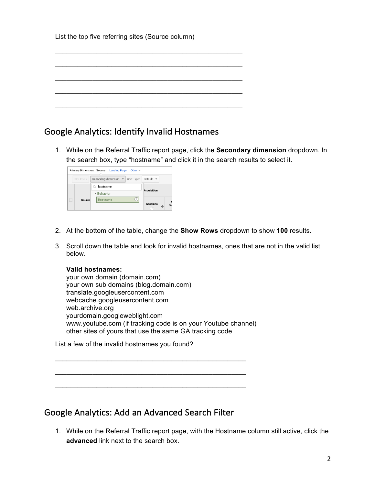|  |  | List the top five referring sites (Source column) |  |  |
|--|--|---------------------------------------------------|--|--|
|  |  |                                                   |  |  |

\_\_\_\_\_\_\_\_\_\_\_\_\_\_\_\_\_\_\_\_\_\_\_\_\_\_\_\_\_\_\_\_\_\_\_\_\_\_\_\_\_\_\_\_\_\_\_\_\_\_

\_\_\_\_\_\_\_\_\_\_\_\_\_\_\_\_\_\_\_\_\_\_\_\_\_\_\_\_\_\_\_\_\_\_\_\_\_\_\_\_\_\_\_\_\_\_\_\_\_\_

\_\_\_\_\_\_\_\_\_\_\_\_\_\_\_\_\_\_\_\_\_\_\_\_\_\_\_\_\_\_\_\_\_\_\_\_\_\_\_\_\_\_\_\_\_\_\_\_\_\_

\_\_\_\_\_\_\_\_\_\_\_\_\_\_\_\_\_\_\_\_\_\_\_\_\_\_\_\_\_\_\_\_\_\_\_\_\_\_\_\_\_\_\_\_\_\_\_\_\_\_

\_\_\_\_\_\_\_\_\_\_\_\_\_\_\_\_\_\_\_\_\_\_\_\_\_\_\_\_\_\_\_\_\_\_\_\_\_\_\_\_\_\_\_\_\_\_\_\_\_\_

## Google Analytics: Identify Invalid Hostnames

1. While on the Referral Traffic report page, click the **Secondary dimension** dropdown. In the search box, type "hostname" and click it in the search results to select it.

|               | Other $\sim$<br>Primary Dimension: Source Landing Page |                              |
|---------------|--------------------------------------------------------|------------------------------|
| Plot Rows     | Secondary dimension $\mathbf{\nabla}$ Sort Type:       | Default $\blacktriangledown$ |
|               | Q hostname                                             |                              |
|               | <b>v</b> Behavior                                      | <b>Acquisition</b>           |
| <b>Source</b> | Hostname                                               | <b>Sessions</b><br>Se<br>J   |

- 2. At the bottom of the table, change the **Show Rows** dropdown to show **100** results.
- 3. Scroll down the table and look for invalid hostnames, ones that are not in the valid list below.

#### **Valid hostnames:**

your own domain (domain.com) your own sub domains (blog.domain.com) translate.googleusercontent.com webcache.googleusercontent.com web.archive.org yourdomain.googleweblight.com www.youtube.com (if tracking code is on your Youtube channel) other sites of yours that use the same GA tracking code

 $\mathcal{L}_\mathcal{L}$  , where  $\mathcal{L}_\mathcal{L}$  is the set of the set of the set of the set of the set of the set of the set of the set of the set of the set of the set of the set of the set of the set of the set of the set of the

 $\mathcal{L}_\mathcal{L}$  , where  $\mathcal{L}_\mathcal{L}$  is the set of the set of the set of the set of the set of the set of the set of the set of the set of the set of the set of the set of the set of the set of the set of the set of the

List a few of the invalid hostnames you found?

### Google Analytics: Add an Advanced Search Filter

1. While on the Referral Traffic report page, with the Hostname column still active, click the **advanced** link next to the search box.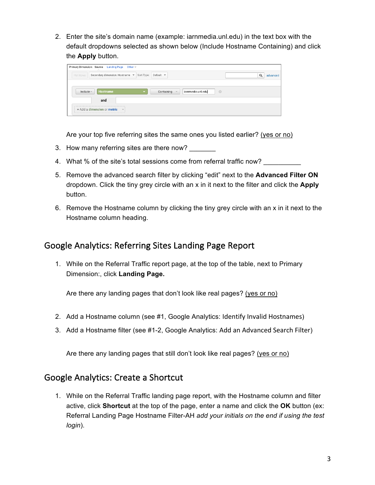2. Enter the site's domain name (example: iarnmedia.unl.edu) in the text box with the default dropdowns selected as shown below (Include Hostname Containing) and click the **Apply** button.



Are your top five referring sites the same ones you listed earlier? (yes or no)

- 3. How many referring sites are there now?
- 4. What % of the site's total sessions come from referral traffic now?
- 5. Remove the advanced search filter by clicking "edit" next to the **Advanced Filter ON** dropdown. Click the tiny grey circle with an x in it next to the filter and click the **Apply** button.
- 6. Remove the Hostname column by clicking the tiny grey circle with an x in it next to the Hostname column heading.

## Google Analytics: Referring Sites Landing Page Report

1. While on the Referral Traffic report page, at the top of the table, next to Primary Dimension:, click **Landing Page.**

Are there any landing pages that don't look like real pages? (yes or no)

- 2. Add a Hostname column (see #1, Google Analytics: Identify Invalid Hostnames)
- 3. Add a Hostname filter (see #1-2, Google Analytics: Add an Advanced Search Filter)

Are there any landing pages that still don't look like real pages? (yes or no)

### Google Analytics: Create a Shortcut

1. While on the Referral Traffic landing page report, with the Hostname column and filter active, click **Shortcut** at the top of the page, enter a name and click the **OK** button (ex: Referral Landing Page Hostname Filter-AH *add your initials on the end if using the test login*).